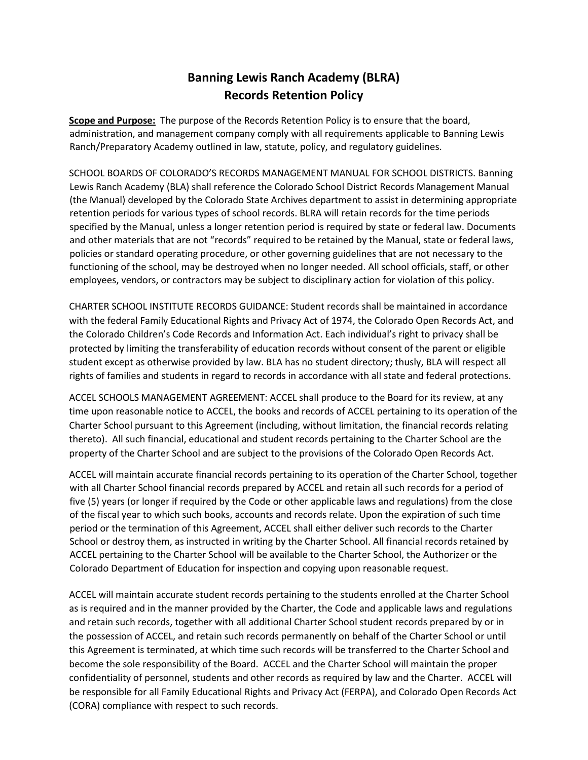## **Banning Lewis Ranch Academy (BLRA) Records Retention Policy**

**Scope and Purpose:** The purpose of the Records Retention Policy is to ensure that the board, administration, and management company comply with all requirements applicable to Banning Lewis Ranch/Preparatory Academy outlined in law, statute, policy, and regulatory guidelines.

SCHOOL BOARDS OF COLORADO'S RECORDS MANAGEMENT MANUAL FOR SCHOOL DISTRICTS. Banning Lewis Ranch Academy (BLA) shall reference the Colorado School District Records Management Manual (the Manual) developed by the Colorado State Archives department to assist in determining appropriate retention periods for various types of school records. BLRA will retain records for the time periods specified by the Manual, unless a longer retention period is required by state or federal law. Documents and other materials that are not "records" required to be retained by the Manual, state or federal laws, policies or standard operating procedure, or other governing guidelines that are not necessary to the functioning of the school, may be destroyed when no longer needed. All school officials, staff, or other employees, vendors, or contractors may be subject to disciplinary action for violation of this policy.

CHARTER SCHOOL INSTITUTE RECORDS GUIDANCE: Student records shall be maintained in accordance with the federal Family Educational Rights and Privacy Act of 1974, the Colorado Open Records Act, and the Colorado Children's Code Records and Information Act. Each individual's right to privacy shall be protected by limiting the transferability of education records without consent of the parent or eligible student except as otherwise provided by law. BLA has no student directory; thusly, BLA will respect all rights of families and students in regard to records in accordance with all state and federal protections.

ACCEL SCHOOLS MANAGEMENT AGREEMENT: ACCEL shall produce to the Board for its review, at any time upon reasonable notice to ACCEL, the books and records of ACCEL pertaining to its operation of the Charter School pursuant to this Agreement (including, without limitation, the financial records relating thereto). All such financial, educational and student records pertaining to the Charter School are the property of the Charter School and are subject to the provisions of the Colorado Open Records Act.

ACCEL will maintain accurate financial records pertaining to its operation of the Charter School, together with all Charter School financial records prepared by ACCEL and retain all such records for a period of five (5) years (or longer if required by the Code or other applicable laws and regulations) from the close of the fiscal year to which such books, accounts and records relate. Upon the expiration of such time period or the termination of this Agreement, ACCEL shall either deliver such records to the Charter School or destroy them, as instructed in writing by the Charter School. All financial records retained by ACCEL pertaining to the Charter School will be available to the Charter School, the Authorizer or the Colorado Department of Education for inspection and copying upon reasonable request.

ACCEL will maintain accurate student records pertaining to the students enrolled at the Charter School as is required and in the manner provided by the Charter, the Code and applicable laws and regulations and retain such records, together with all additional Charter School student records prepared by or in the possession of ACCEL, and retain such records permanently on behalf of the Charter School or until this Agreement is terminated, at which time such records will be transferred to the Charter School and become the sole responsibility of the Board. ACCEL and the Charter School will maintain the proper confidentiality of personnel, students and other records as required by law and the Charter. ACCEL will be responsible for all Family Educational Rights and Privacy Act (FERPA), and Colorado Open Records Act (CORA) compliance with respect to such records.